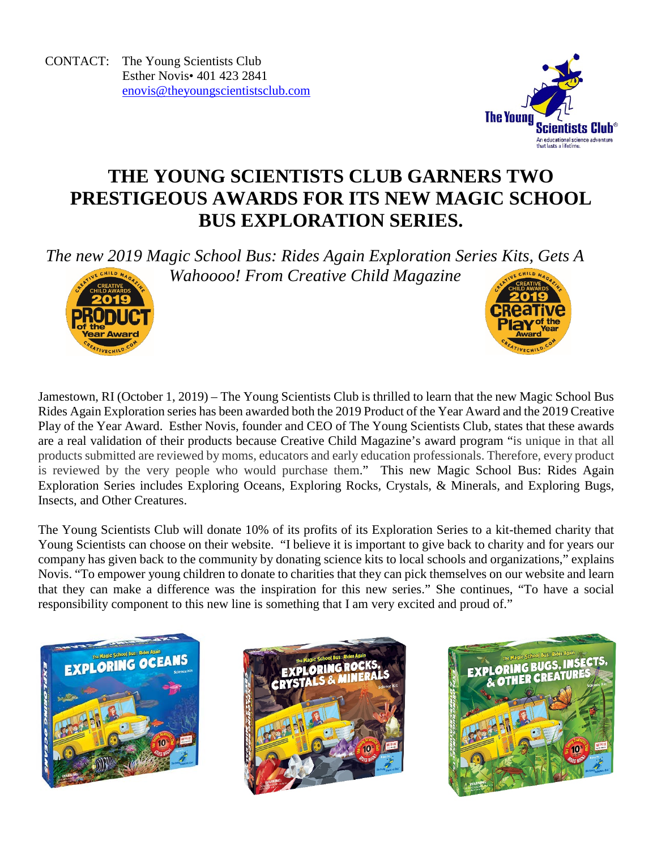CONTACT: The Young Scientists Club Esther Novis• 401 423 2841 [enovis@theyoungscientistsclub.com](mailto:enovis@theyoungscientistsclub.com)



# **THE YOUNG SCIENTISTS CLUB GARNERS TWO PRESTIGEOUS AWARDS FOR ITS NEW MAGIC SCHOOL BUS EXPLORATION SERIES.**

*The new 2019 Magic School Bus: Rides Again Exploration Series Kits, Gets A* 



*Wahoooo! From Creative Child Magazine*



The Young Scientists Club will donate 10% of its profits of its Exploration Series to a kit-themed charity that Young Scientists can choose on their website. "I believe it is important to give back to charity and for years our company has given back to the community by donating science kits to local schools and organizations," explains Novis. "To empower young children to donate to charities that they can pick themselves on our website and learn that they can make a difference was the inspiration for this new series." She continues, "To have a social responsibility component to this new line is something that I am very excited and proud of."





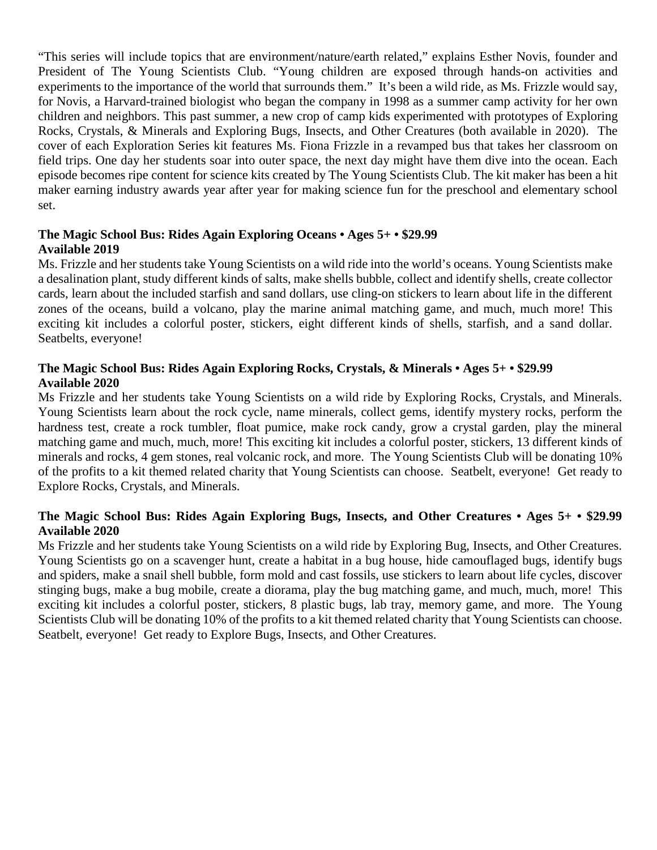"This series will include topics that are environment/nature/earth related," explains Esther Novis, founder and President of The Young Scientists Club. "Young children are exposed through hands-on activities and experiments to the importance of the world that surrounds them." It's been a wild ride, as Ms. Frizzle would say, for Novis, a Harvard-trained biologist who began the company in 1998 as a summer camp activity for her own children and neighbors. This past summer, a new crop of camp kids experimented with prototypes of Exploring Rocks, Crystals, & Minerals and Exploring Bugs, Insects, and Other Creatures (both available in 2020). The cover of each Exploration Series kit features Ms. Fiona Frizzle in a revamped bus that takes her classroom on field trips. One day her students soar into outer space, the next day might have them dive into the ocean. Each episode becomes ripe content for science kits created by The Young Scientists Club. The kit maker has been a hit maker earning industry awards year after year for making science fun for the preschool and elementary school set.

#### **The Magic School Bus: Rides Again Exploring Oceans • Ages 5+ • \$29.99 Available 2019**

Ms. Frizzle and her students take Young Scientists on a wild ride into the world's oceans. Young Scientists make a desalination plant, study different kinds of salts, make shells bubble, collect and identify shells, create collector cards, learn about the included starfish and sand dollars, use cling-on stickers to learn about life in the different zones of the oceans, build a volcano, play the marine animal matching game, and much, much more! This exciting kit includes a colorful poster, stickers, eight different kinds of shells, starfish, and a sand dollar. Seatbelts, everyone!

### **The Magic School Bus: Rides Again Exploring Rocks, Crystals, & Minerals • Ages 5+ • \$29.99 Available 2020**

Ms Frizzle and her students take Young Scientists on a wild ride by Exploring Rocks, Crystals, and Minerals. Young Scientists learn about the rock cycle, name minerals, collect gems, identify mystery rocks, perform the hardness test, create a rock tumbler, float pumice, make rock candy, grow a crystal garden, play the mineral matching game and much, much, more! This exciting kit includes a colorful poster, stickers, 13 different kinds of minerals and rocks, 4 gem stones, real volcanic rock, and more. The Young Scientists Club will be donating 10% of the profits to a kit themed related charity that Young Scientists can choose. Seatbelt, everyone! Get ready to Explore Rocks, Crystals, and Minerals.

### **The Magic School Bus: Rides Again Exploring Bugs, Insects, and Other Creatures • Ages 5+ • \$29.99 Available 2020**

Ms Frizzle and her students take Young Scientists on a wild ride by Exploring Bug, Insects, and Other Creatures. Young Scientists go on a scavenger hunt, create a habitat in a bug house, hide camouflaged bugs, identify bugs and spiders, make a snail shell bubble, form mold and cast fossils, use stickers to learn about life cycles, discover stinging bugs, make a bug mobile, create a diorama, play the bug matching game, and much, much, more! This exciting kit includes a colorful poster, stickers, 8 plastic bugs, lab tray, memory game, and more. The Young Scientists Club will be donating 10% of the profits to a kit themed related charity that Young Scientists can choose. Seatbelt, everyone! Get ready to Explore Bugs, Insects, and Other Creatures.